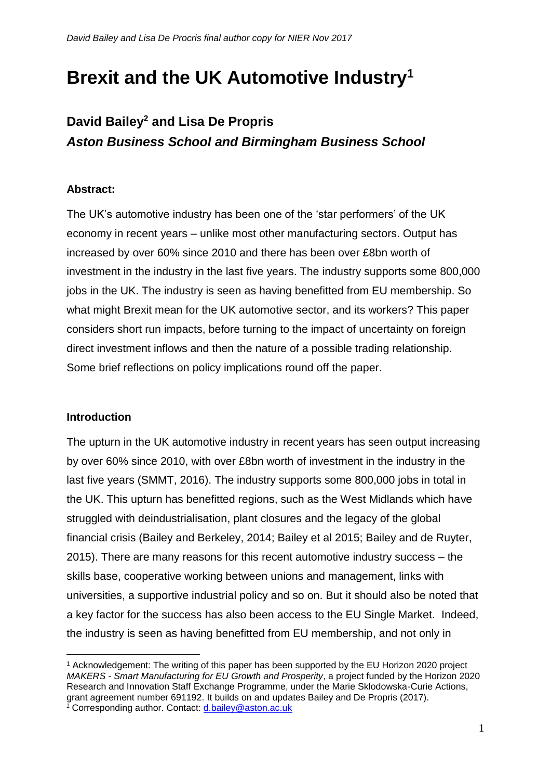# **Brexit and the UK Automotive Industry<sup>1</sup>**

## **David Bailey<sup>2</sup> and Lisa De Propris** *Aston Business School and Birmingham Business School*

#### **Abstract:**

The UK's automotive industry has been one of the 'star performers' of the UK economy in recent years – unlike most other manufacturing sectors. Output has increased by over 60% since 2010 and there has been over £8bn worth of investment in the industry in the last five years. The industry supports some 800,000 jobs in the UK. The industry is seen as having benefitted from EU membership. So what might Brexit mean for the UK automotive sector, and its workers? This paper considers short run impacts, before turning to the impact of uncertainty on foreign direct investment inflows and then the nature of a possible trading relationship. Some brief reflections on policy implications round off the paper.

#### **Introduction**

1

The upturn in the UK automotive industry in recent years has seen output increasing by over 60% since 2010, with over £8bn worth of investment in the industry in the last five years (SMMT, 2016). The industry supports some 800,000 jobs in total in the UK. This upturn has benefitted regions, such as the West Midlands which have struggled with deindustrialisation, plant closures and the legacy of the global financial crisis (Bailey and Berkeley, 2014; Bailey et al 2015; Bailey and de Ruyter, 2015). There are many reasons for this recent automotive industry success – the skills base, cooperative working between unions and management, links with universities, a supportive industrial policy and so on. But it should also be noted that a key factor for the success has also been access to the EU Single Market. Indeed, the industry is seen as having benefitted from EU membership, and not only in

<sup>1</sup> Acknowledgement: The writing of this paper has been supported by the EU Horizon 2020 project *MAKERS - Smart Manufacturing for EU Growth and Prosperity*, a project funded by the Horizon 2020 Research and Innovation Staff Exchange Programme, under the Marie Sklodowska-Curie Actions, grant agreement number 691192. It builds on and updates Bailey and De Propris (2017).  $^{2}$  Corresponding author. Contact: [d.bailey@aston.ac.uk](mailto:d.bailey@aston.ac.uk)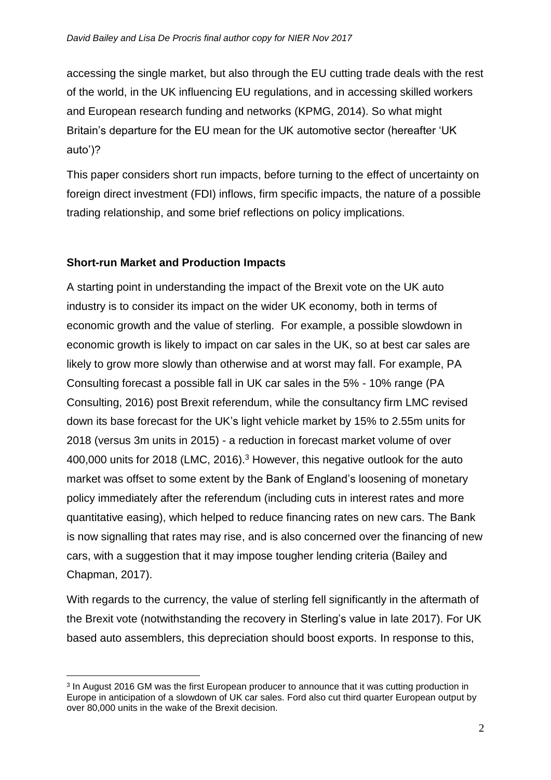accessing the single market, but also through the EU cutting trade deals with the rest of the world, in the UK influencing EU regulations, and in accessing skilled workers and European research funding and networks (KPMG, 2014). So what might Britain's departure for the EU mean for the UK automotive sector (hereafter 'UK auto')?

This paper considers short run impacts, before turning to the effect of uncertainty on foreign direct investment (FDI) inflows, firm specific impacts, the nature of a possible trading relationship, and some brief reflections on policy implications.

#### **Short-run Market and Production Impacts**

<u>.</u>

A starting point in understanding the impact of the Brexit vote on the UK auto industry is to consider its impact on the wider UK economy, both in terms of economic growth and the value of sterling. For example, a possible slowdown in economic growth is likely to impact on car sales in the UK, so at best car sales are likely to grow more slowly than otherwise and at worst may fall. For example, PA Consulting forecast a possible fall in UK car sales in the 5% - 10% range (PA Consulting, 2016) post Brexit referendum, while the consultancy firm LMC revised down its base forecast for the UK's light vehicle market by 15% to 2.55m units for 2018 (versus 3m units in 2015) - a reduction in forecast market volume of over 400,000 units for 2018 (LMC, 2016). <sup>3</sup> However, this negative outlook for the auto market was offset to some extent by the Bank of England's loosening of monetary policy immediately after the referendum (including cuts in interest rates and more quantitative easing), which helped to reduce financing rates on new cars. The Bank is now signalling that rates may rise, and is also concerned over the financing of new cars, with a suggestion that it may impose tougher lending criteria (Bailey and Chapman, 2017).

With regards to the currency, the value of sterling fell significantly in the aftermath of the Brexit vote (notwithstanding the recovery in Sterling's value in late 2017). For UK based auto assemblers, this depreciation should boost exports. In response to this,

<sup>&</sup>lt;sup>3</sup> In August 2016 GM was the first European producer to announce that it was cutting production in Europe in anticipation of a slowdown of UK car sales. Ford also cut third quarter European output by over 80,000 units in the wake of the Brexit decision.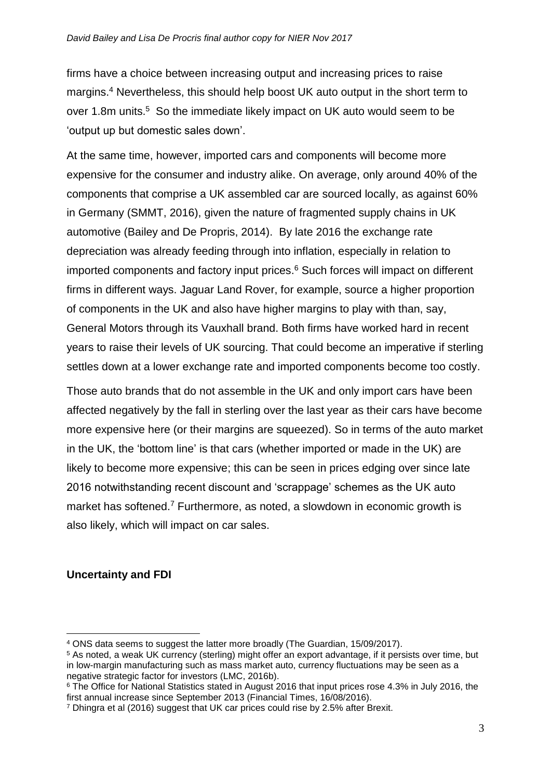firms have a choice between increasing output and increasing prices to raise margins. <sup>4</sup> Nevertheless, this should help boost UK auto output in the short term to over 1.8m units.<sup>5</sup> So the immediate likely impact on UK auto would seem to be 'output up but domestic sales down'.

At the same time, however, imported cars and components will become more expensive for the consumer and industry alike. On average, only around 40% of the components that comprise a UK assembled car are sourced locally, as against 60% in Germany (SMMT, 2016), given the nature of fragmented supply chains in UK automotive (Bailey and De Propris, 2014). By late 2016 the exchange rate depreciation was already feeding through into inflation, especially in relation to imported components and factory input prices. <sup>6</sup> Such forces will impact on different firms in different ways. Jaguar Land Rover, for example, source a higher proportion of components in the UK and also have higher margins to play with than, say, General Motors through its Vauxhall brand. Both firms have worked hard in recent years to raise their levels of UK sourcing. That could become an imperative if sterling settles down at a lower exchange rate and imported components become too costly.

Those auto brands that do not assemble in the UK and only import cars have been affected negatively by the fall in sterling over the last year as their cars have become more expensive here (or their margins are squeezed). So in terms of the auto market in the UK, the 'bottom line' is that cars (whether imported or made in the UK) are likely to become more expensive; this can be seen in prices edging over since late 2016 notwithstanding recent discount and 'scrappage' schemes as the UK auto market has softened.<sup>7</sup> Furthermore, as noted, a slowdown in economic growth is also likely, which will impact on car sales.

#### **Uncertainty and FDI**

1

<sup>6</sup> The Office for National Statistics stated in August 2016 that input prices rose 4.3% in July 2016, the first annual increase since September 2013 (Financial Times, 16/08/2016).

<sup>4</sup> ONS data seems to suggest the latter more broadly (The Guardian, 15/09/2017).

<sup>5</sup> As noted, a weak UK currency (sterling) might offer an export advantage, if it persists over time, but in low-margin manufacturing such as mass market auto, currency fluctuations may be seen as a negative strategic factor for investors (LMC, 2016b).

<sup>7</sup> Dhingra et al (2016) suggest that UK car prices could rise by 2.5% after Brexit.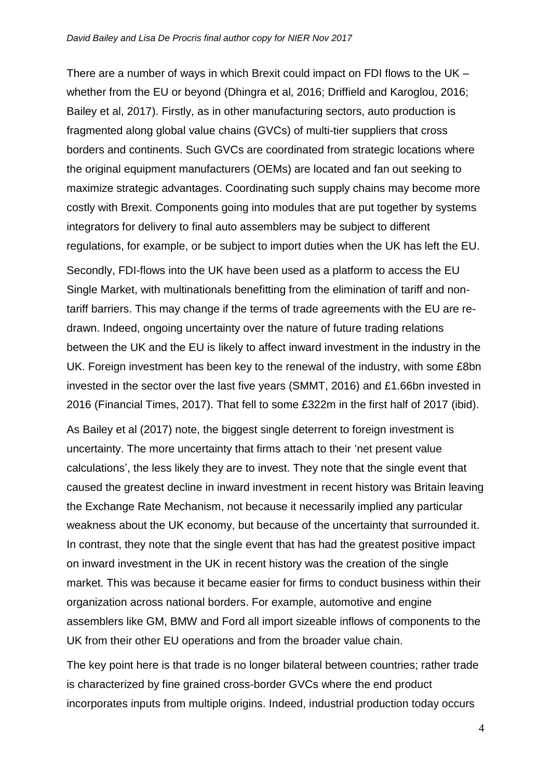There are a number of ways in which Brexit could impact on FDI flows to the UK – whether from the EU or beyond (Dhingra et al, 2016; Driffield and Karoglou, 2016; Bailey et al, 2017). Firstly, as in other manufacturing sectors, auto production is fragmented along global value chains (GVCs) of multi-tier suppliers that cross borders and continents. Such GVCs are coordinated from strategic locations where the original equipment manufacturers (OEMs) are located and fan out seeking to maximize strategic advantages. Coordinating such supply chains may become more costly with Brexit. Components going into modules that are put together by systems integrators for delivery to final auto assemblers may be subject to different regulations, for example, or be subject to import duties when the UK has left the EU.

Secondly, FDI-flows into the UK have been used as a platform to access the EU Single Market, with multinationals benefitting from the elimination of tariff and nontariff barriers. This may change if the terms of trade agreements with the EU are redrawn. Indeed, ongoing uncertainty over the nature of future trading relations between the UK and the EU is likely to affect inward investment in the industry in the UK. Foreign investment has been key to the renewal of the industry, with some £8bn invested in the sector over the last five years (SMMT, 2016) and £1.66bn invested in 2016 (Financial Times, 2017). That fell to some £322m in the first half of 2017 (ibid).

As Bailey et al (2017) note, the biggest single deterrent to foreign investment is uncertainty. The more uncertainty that firms attach to their 'net present value calculations', the less likely they are to invest. They note that the single event that caused the greatest decline in inward investment in recent history was Britain leaving the Exchange Rate Mechanism, not because it necessarily implied any particular weakness about the UK economy, but because of the uncertainty that surrounded it. In contrast, they note that the single event that has had the greatest positive impact on inward investment in the UK in recent history was the creation of the single market. This was because it became easier for firms to conduct business within their organization across national borders. For example, automotive and engine assemblers like GM, BMW and Ford all import sizeable inflows of components to the UK from their other EU operations and from the broader value chain.

The key point here is that trade is no longer bilateral between countries; rather trade is characterized by fine grained cross-border GVCs where the end product incorporates inputs from multiple origins. Indeed, industrial production today occurs

4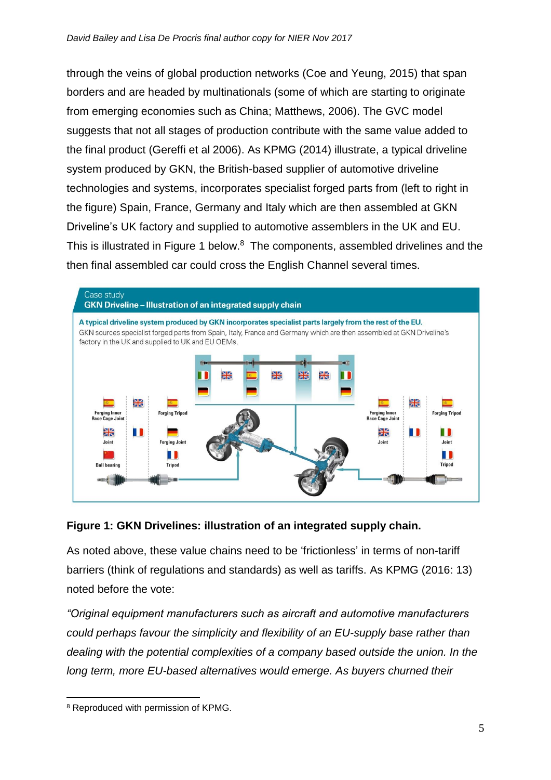through the veins of global production networks (Coe and Yeung, 2015) that span borders and are headed by multinationals (some of which are starting to originate from emerging economies such as China; Matthews, 2006). The GVC model suggests that not all stages of production contribute with the same value added to the final product (Gereffi et al 2006). As KPMG (2014) illustrate, a typical driveline system produced by GKN, the British-based supplier of automotive driveline technologies and systems, incorporates specialist forged parts from (left to right in the figure) Spain, France, Germany and Italy which are then assembled at GKN Driveline's UK factory and supplied to automotive assemblers in the UK and EU. This is illustrated in Figure 1 below.<sup>8</sup> The components, assembled drivelines and the then final assembled car could cross the English Channel several times.



#### **Figure 1: GKN Drivelines: illustration of an integrated supply chain.**

As noted above, these value chains need to be 'frictionless' in terms of non-tariff barriers (think of regulations and standards) as well as tariffs. As KPMG (2016: 13) noted before the vote:

*"Original equipment manufacturers such as aircraft and automotive manufacturers could perhaps favour the simplicity and flexibility of an EU-supply base rather than dealing with the potential complexities of a company based outside the union. In the*  long term, more EU-based alternatives would emerge. As buyers churned their

<sup>1</sup> <sup>8</sup> Reproduced with permission of KPMG.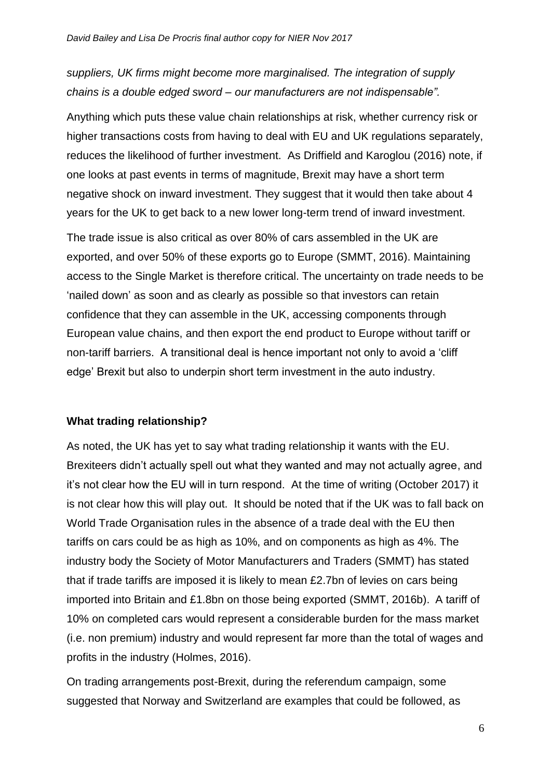### *suppliers, UK firms might become more marginalised. The integration of supply chains is a double edged sword – our manufacturers are not indispensable".*

Anything which puts these value chain relationships at risk, whether currency risk or higher transactions costs from having to deal with EU and UK regulations separately, reduces the likelihood of further investment. As Driffield and Karoglou (2016) note, if one looks at past events in terms of magnitude, Brexit may have a short term negative shock on inward investment. They suggest that it would then take about 4 years for the UK to get back to a new lower long-term trend of inward investment.

The trade issue is also critical as over 80% of cars assembled in the UK are exported, and over 50% of these exports go to Europe (SMMT, 2016). Maintaining access to the Single Market is therefore critical. The uncertainty on trade needs to be 'nailed down' as soon and as clearly as possible so that investors can retain confidence that they can assemble in the UK, accessing components through European value chains, and then export the end product to Europe without tariff or non-tariff barriers. A transitional deal is hence important not only to avoid a 'cliff edge' Brexit but also to underpin short term investment in the auto industry.

#### **What trading relationship?**

As noted, the UK has yet to say what trading relationship it wants with the EU. Brexiteers didn't actually spell out what they wanted and may not actually agree, and it's not clear how the EU will in turn respond. At the time of writing (October 2017) it is not clear how this will play out. It should be noted that if the UK was to fall back on World Trade Organisation rules in the absence of a trade deal with the EU then tariffs on cars could be as high as 10%, and on components as high as 4%. The industry body the Society of Motor Manufacturers and Traders (SMMT) has stated that if trade tariffs are imposed it is likely to mean £2.7bn of levies on cars being imported into Britain and £1.8bn on those being exported (SMMT, 2016b). A tariff of 10% on completed cars would represent a considerable burden for the mass market (i.e. non premium) industry and would represent far more than the total of wages and profits in the industry (Holmes, 2016).

On trading arrangements post-Brexit, during the referendum campaign, some suggested that Norway and Switzerland are examples that could be followed, as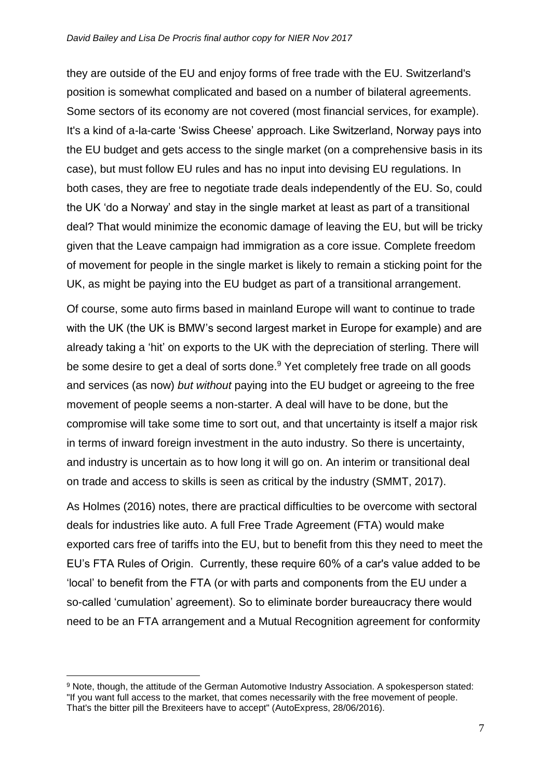they are outside of the EU and enjoy forms of free trade with the EU. Switzerland's position is somewhat complicated and based on a number of bilateral agreements. Some sectors of its economy are not covered (most financial services, for example). It's a kind of a-la-carte 'Swiss Cheese' approach. Like Switzerland, Norway pays into the EU budget and gets access to the single market (on a comprehensive basis in its case), but must follow EU rules and has no input into devising EU regulations. In both cases, they are free to negotiate trade deals independently of the EU. So, could the UK 'do a Norway' and stay in the single market at least as part of a transitional deal? That would minimize the economic damage of leaving the EU, but will be tricky given that the Leave campaign had immigration as a core issue. Complete freedom of movement for people in the single market is likely to remain a sticking point for the UK, as might be paying into the EU budget as part of a transitional arrangement.

Of course, some auto firms based in mainland Europe will want to continue to trade with the UK (the UK is BMW's second largest market in Europe for example) and are already taking a 'hit' on exports to the UK with the depreciation of sterling. There will be some desire to get a deal of sorts done.<sup>9</sup> Yet completely free trade on all goods and services (as now) *but without* paying into the EU budget or agreeing to the free movement of people seems a non-starter. A deal will have to be done, but the compromise will take some time to sort out, and that uncertainty is itself a major risk in terms of inward foreign investment in the auto industry. So there is uncertainty, and industry is uncertain as to how long it will go on. An interim or transitional deal on trade and access to skills is seen as critical by the industry (SMMT, 2017).

As Holmes (2016) notes, there are practical difficulties to be overcome with sectoral deals for industries like auto. A full Free Trade Agreement (FTA) would make exported cars free of tariffs into the EU, but to benefit from this they need to meet the EU's FTA Rules of Origin. Currently, these require 60% of a car's value added to be 'local' to benefit from the FTA (or with parts and components from the EU under a so-called 'cumulation' agreement). So to eliminate border bureaucracy there would need to be an FTA arrangement and a Mutual Recognition agreement for conformity

<u>.</u>

<sup>9</sup> Note, though, the attitude of the German Automotive Industry Association. A spokesperson stated: "If you want full access to the market, that comes necessarily with the free movement of people. That's the bitter pill the Brexiteers have to accept" (AutoExpress, 28/06/2016).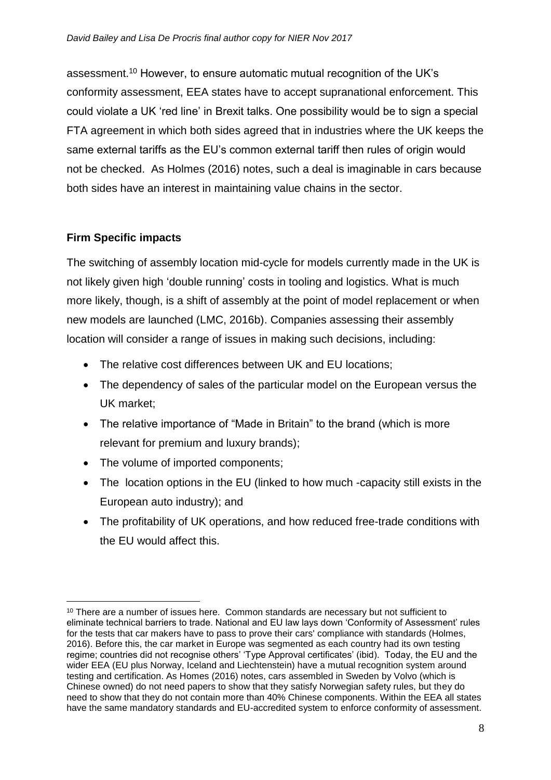assessment.<sup>10</sup> However, to ensure automatic mutual recognition of the UK's conformity assessment, EEA states have to accept supranational enforcement. This could violate a UK 'red line' in Brexit talks. One possibility would be to sign a special FTA agreement in which both sides agreed that in industries where the UK keeps the same external tariffs as the EU's common external tariff then rules of origin would not be checked. As Holmes (2016) notes, such a deal is imaginable in cars because both sides have an interest in maintaining value chains in the sector.

#### **Firm Specific impacts**

1

The switching of assembly location mid-cycle for models currently made in the UK is not likely given high 'double running' costs in tooling and logistics. What is much more likely, though, is a shift of assembly at the point of model replacement or when new models are launched (LMC, 2016b). Companies assessing their assembly location will consider a range of issues in making such decisions, including:

- The relative cost differences between UK and EU locations;
- The dependency of sales of the particular model on the European versus the UK market;
- The relative importance of "Made in Britain" to the brand (which is more relevant for premium and luxury brands);
- The volume of imported components;
- The location options in the EU (linked to how much -capacity still exists in the European auto industry); and
- The profitability of UK operations, and how reduced free-trade conditions with the EU would affect this.

<sup>&</sup>lt;sup>10</sup> There are a number of issues here. Common standards are necessary but not sufficient to eliminate technical barriers to trade. National and EU law lays down 'Conformity of Assessment' rules for the tests that car makers have to pass to prove their cars' compliance with standards (Holmes, 2016). Before this, the car market in Europe was segmented as each country had its own testing regime; countries did not recognise others' 'Type Approval certificates' (ibid). Today, the EU and the wider EEA (EU plus Norway, Iceland and Liechtenstein) have a mutual recognition system around testing and certification. As Homes (2016) notes, cars assembled in Sweden by Volvo (which is Chinese owned) do not need papers to show that they satisfy Norwegian safety rules, but they do need to show that they do not contain more than 40% Chinese components. Within the EEA all states have the same mandatory standards and EU-accredited system to enforce conformity of assessment.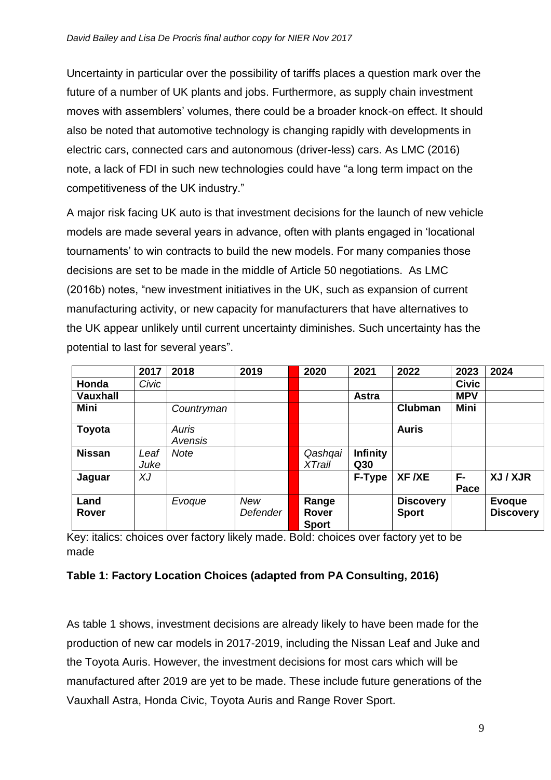Uncertainty in particular over the possibility of tariffs places a question mark over the future of a number of UK plants and jobs. Furthermore, as supply chain investment moves with assemblers' volumes, there could be a broader knock-on effect. It should also be noted that automotive technology is changing rapidly with developments in electric cars, connected cars and autonomous (driver-less) cars. As LMC (2016) note, a lack of FDI in such new technologies could have "a long term impact on the competitiveness of the UK industry."

A major risk facing UK auto is that investment decisions for the launch of new vehicle models are made several years in advance, often with plants engaged in 'locational tournaments' to win contracts to build the new models. For many companies those decisions are set to be made in the middle of Article 50 negotiations. As LMC (2016b) notes, "new investment initiatives in the UK, such as expansion of current manufacturing activity, or new capacity for manufacturers that have alternatives to the UK appear unlikely until current uncertainty diminishes. Such uncertainty has the potential to last for several years".

|                      | 2017         | 2018             | 2019                   | 2020                                  | 2021                   | 2022                             | 2023         | 2024                              |
|----------------------|--------------|------------------|------------------------|---------------------------------------|------------------------|----------------------------------|--------------|-----------------------------------|
| Honda                | Civic        |                  |                        |                                       |                        |                                  | <b>Civic</b> |                                   |
| <b>Vauxhall</b>      |              |                  |                        |                                       | <b>Astra</b>           |                                  | <b>MPV</b>   |                                   |
| Mini                 |              | Countryman       |                        |                                       |                        | <b>Clubman</b>                   | Mini         |                                   |
| Toyota               |              | Auris<br>Avensis |                        |                                       |                        | <b>Auris</b>                     |              |                                   |
| <b>Nissan</b>        | Leaf<br>Juke | <b>Note</b>      |                        | Qashqai<br><b>XTrail</b>              | <b>Infinity</b><br>Q30 |                                  |              |                                   |
| Jaguar               | XJ           |                  |                        |                                       | F-Type                 | XF /XE                           | F-<br>Pace   | XJ / XJR                          |
| Land<br><b>Rover</b> |              | Evoque           | <b>New</b><br>Defender | Range<br><b>Rover</b><br><b>Sport</b> |                        | <b>Discovery</b><br><b>Sport</b> |              | <b>Evoque</b><br><b>Discovery</b> |

Key: italics: choices over factory likely made. Bold: choices over factory yet to be made

#### **Table 1: Factory Location Choices (adapted from PA Consulting, 2016)**

As table 1 shows, investment decisions are already likely to have been made for the production of new car models in 2017-2019, including the Nissan Leaf and Juke and the Toyota Auris. However, the investment decisions for most cars which will be manufactured after 2019 are yet to be made. These include future generations of the Vauxhall Astra, Honda Civic, Toyota Auris and Range Rover Sport.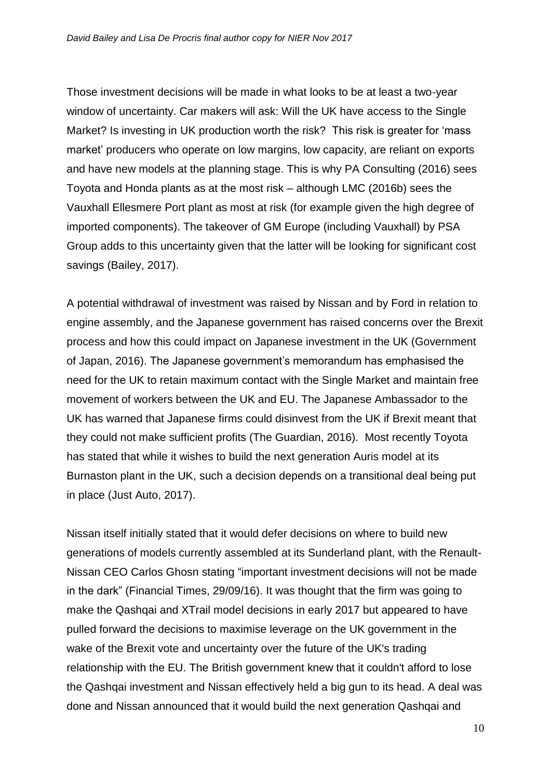Those investment decisions will be made in what looks to be at least a two-year window of uncertainty. Car makers will ask: Will the UK have access to the Single Market? Is investing in UK production worth the risk? This risk is greater for 'mass market' producers who operate on low margins, low capacity, are reliant on exports and have new models at the planning stage. This is why PA Consulting (2016) sees Toyota and Honda plants as at the most risk – although LMC (2016b) sees the Vauxhall Ellesmere Port plant as most at risk (for example given the high degree of imported components). The takeover of GM Europe (including Vauxhall) by PSA Group adds to this uncertainty given that the latter will be looking for significant cost savings (Bailey, 2017).

A potential withdrawal of investment was raised by Nissan and by Ford in relation to engine assembly, and the Japanese government has raised concerns over the Brexit process and how this could impact on Japanese investment in the UK (Government of Japan, 2016). The Japanese government's memorandum has emphasised the need for the UK to retain maximum contact with the Single Market and maintain free movement of workers between the UK and EU. The Japanese Ambassador to the UK has warned that Japanese firms could disinvest from the UK if Brexit meant that they could not make sufficient profits (The Guardian, 2016). Most recently Toyota has stated that while it wishes to build the next generation Auris model at its Burnaston plant in the UK, such a decision depends on a transitional deal being put in place (Just Auto, 2017).

Nissan itself initially stated that it would defer decisions on where to build new generations of models currently assembled at its Sunderland plant, with the Renault-Nissan CEO Carlos Ghosn stating "important investment decisions will not be made in the dark" (Financial Times, 29/09/16). It was thought that the firm was going to make the Qashqai and XTrail model decisions in early 2017 but appeared to have pulled forward the decisions to maximise leverage on the UK government in the wake of the Brexit vote and uncertainty over the future of the UK's trading relationship with the EU. The British government knew that it couldn't afford to lose the Qashqai investment and Nissan effectively held a big gun to its head. A deal was done and Nissan announced that it would build the next generation Qashqai and

10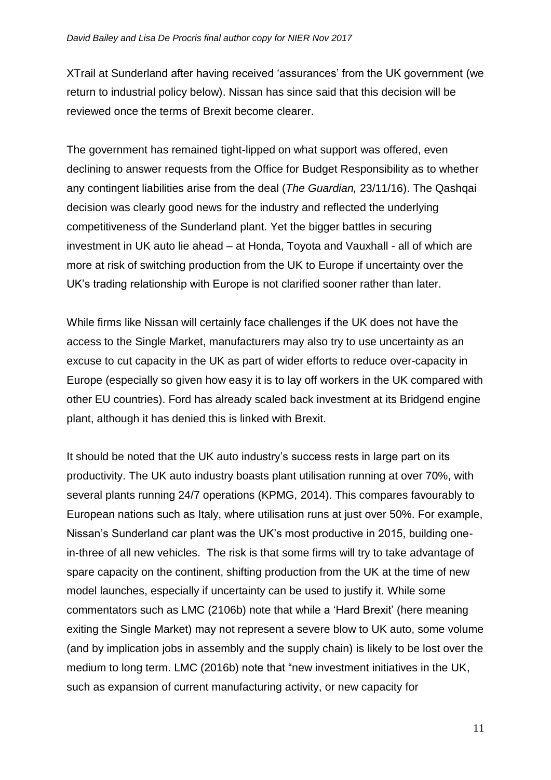XTrail at Sunderland after having received 'assurances' from the UK government (we return to industrial policy below). Nissan has since said that this decision will be reviewed once the terms of Brexit become clearer.

The government has remained tight-lipped on what support was offered, even declining to answer requests from the Office for Budget Responsibility as to whether any contingent liabilities arise from the deal (*The Guardian,* 23/11/16). The Qashqai decision was clearly good news for the industry and reflected the underlying competitiveness of the Sunderland plant. Yet the bigger battles in securing investment in UK auto lie ahead – at Honda, Toyota and Vauxhall - all of which are more at risk of switching production from the UK to Europe if uncertainty over the UK's trading relationship with Europe is not clarified sooner rather than later.

While firms like Nissan will certainly face challenges if the UK does not have the access to the Single Market, manufacturers may also try to use uncertainty as an excuse to cut capacity in the UK as part of wider efforts to reduce over-capacity in Europe (especially so given how easy it is to lay off workers in the UK compared with other EU countries). Ford has already scaled back investment at its Bridgend engine plant, although it has denied this is linked with Brexit.

It should be noted that the UK auto industry's success rests in large part on its productivity. The UK auto industry boasts plant utilisation running at over 70%, with several plants running 24/7 operations (KPMG, 2014). This compares favourably to European nations such as Italy, where utilisation runs at just over 50%. For example, Nissan's Sunderland car plant was the UK's most productive in 2015, building onein-three of all new vehicles. The risk is that some firms will try to take advantage of spare capacity on the continent, shifting production from the UK at the time of new model launches, especially if uncertainty can be used to justify it. While some commentators such as LMC (2106b) note that while a 'Hard Brexit' (here meaning exiting the Single Market) may not represent a severe blow to UK auto, some volume (and by implication jobs in assembly and the supply chain) is likely to be lost over the medium to long term. LMC (2016b) note that "new investment initiatives in the UK, such as expansion of current manufacturing activity, or new capacity for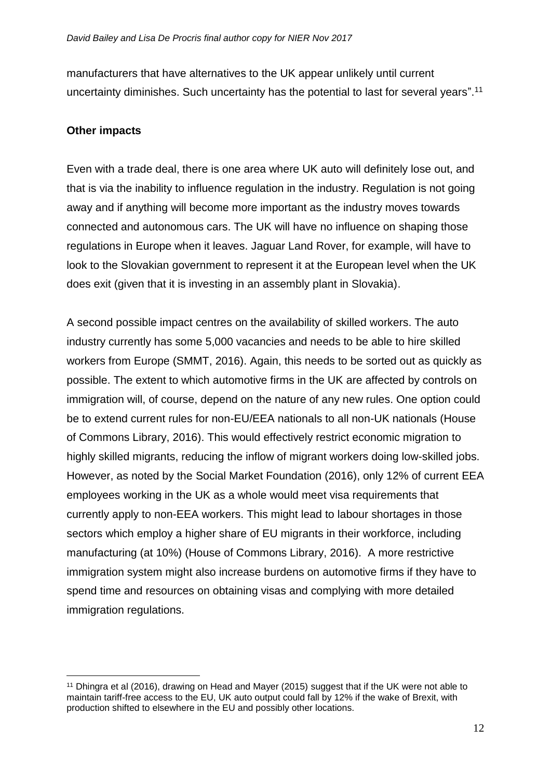manufacturers that have alternatives to the UK appear unlikely until current uncertainty diminishes. Such uncertainty has the potential to last for several years".<sup>11</sup>

#### **Other impacts**

Even with a trade deal, there is one area where UK auto will definitely lose out, and that is via the inability to influence regulation in the industry. Regulation is not going away and if anything will become more important as the industry moves towards connected and autonomous cars. The UK will have no influence on shaping those regulations in Europe when it leaves. Jaguar Land Rover, for example, will have to look to the Slovakian government to represent it at the European level when the UK does exit (given that it is investing in an assembly plant in Slovakia).

A second possible impact centres on the availability of skilled workers. The auto industry currently has some 5,000 vacancies and needs to be able to hire skilled workers from Europe (SMMT, 2016). Again, this needs to be sorted out as quickly as possible. The extent to which automotive firms in the UK are affected by controls on immigration will, of course, depend on the nature of any new rules. One option could be to extend current rules for non-EU/EEA nationals to all non-UK nationals (House of Commons Library, 2016). This would effectively restrict economic migration to highly skilled migrants, reducing the inflow of migrant workers doing low-skilled jobs. However, as noted by the Social Market Foundation (2016), only 12% of current EEA employees working in the UK as a whole would meet visa requirements that currently apply to non-EEA workers. This might lead to labour shortages in those sectors which employ a higher share of EU migrants in their workforce, including manufacturing (at 10%) (House of Commons Library, 2016). A more restrictive immigration system might also increase burdens on automotive firms if they have to spend time and resources on obtaining visas and complying with more detailed immigration regulations.

<sup>&</sup>lt;u>.</u> <sup>11</sup> Dhingra et al (2016), drawing on Head and Mayer (2015) suggest that if the UK were not able to maintain tariff-free access to the EU, UK auto output could fall by 12% if the wake of Brexit, with production shifted to elsewhere in the EU and possibly other locations.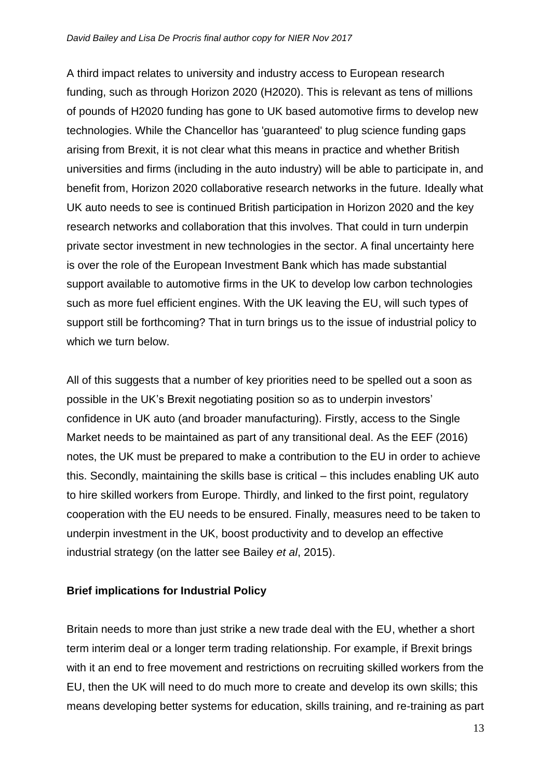A third impact relates to university and industry access to European research funding, such as through Horizon 2020 (H2020). This is relevant as tens of millions of pounds of H2020 funding has gone to UK based automotive firms to develop new technologies. While the Chancellor has 'guaranteed' to plug science funding gaps arising from Brexit, it is not clear what this means in practice and whether British universities and firms (including in the auto industry) will be able to participate in, and benefit from, Horizon 2020 collaborative research networks in the future. Ideally what UK auto needs to see is continued British participation in Horizon 2020 and the key research networks and collaboration that this involves. That could in turn underpin private sector investment in new technologies in the sector. A final uncertainty here is over the role of the European Investment Bank which has made substantial support available to automotive firms in the UK to develop low carbon technologies such as more fuel efficient engines. With the UK leaving the EU, will such types of support still be forthcoming? That in turn brings us to the issue of industrial policy to which we turn below.

All of this suggests that a number of key priorities need to be spelled out a soon as possible in the UK's Brexit negotiating position so as to underpin investors' confidence in UK auto (and broader manufacturing). Firstly, access to the Single Market needs to be maintained as part of any transitional deal. As the EEF (2016) notes, the UK must be prepared to make a contribution to the EU in order to achieve this. Secondly, maintaining the skills base is critical – this includes enabling UK auto to hire skilled workers from Europe. Thirdly, and linked to the first point, regulatory cooperation with the EU needs to be ensured. Finally, measures need to be taken to underpin investment in the UK, boost productivity and to develop an effective industrial strategy (on the latter see Bailey *et al*, 2015).

#### **Brief implications for Industrial Policy**

Britain needs to more than just strike a new trade deal with the EU, whether a short term interim deal or a longer term trading relationship. For example, if Brexit brings with it an end to free movement and restrictions on recruiting skilled workers from the EU, then the UK will need to do much more to create and develop its own skills; this means developing better systems for education, skills training, and re-training as part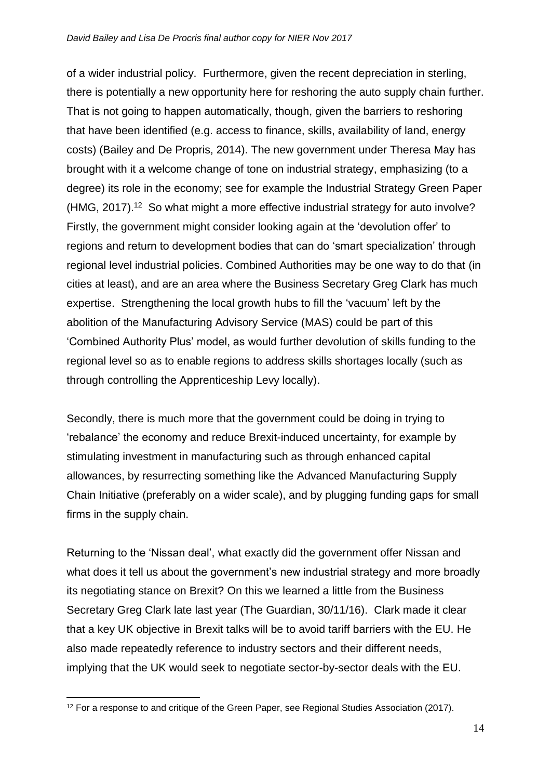of a wider industrial policy. Furthermore, given the recent depreciation in sterling, there is potentially a new opportunity here for reshoring the auto supply chain further. That is not going to happen automatically, though, given the barriers to reshoring that have been identified (e.g. access to finance, skills, availability of land, energy costs) (Bailey and De Propris, 2014). The new government under Theresa May has brought with it a welcome change of tone on industrial strategy, emphasizing (to a degree) its role in the economy; see for example the Industrial Strategy Green Paper (HMG, 2017). <sup>12</sup> So what might a more effective industrial strategy for auto involve? Firstly, the government might consider looking again at the 'devolution offer' to regions and return to development bodies that can do 'smart specialization' through regional level industrial policies. Combined Authorities may be one way to do that (in cities at least), and are an area where the Business Secretary Greg Clark has much expertise. Strengthening the local growth hubs to fill the 'vacuum' left by the abolition of the Manufacturing Advisory Service (MAS) could be part of this 'Combined Authority Plus' model, as would further devolution of skills funding to the regional level so as to enable regions to address skills shortages locally (such as through controlling the Apprenticeship Levy locally).

Secondly, there is much more that the government could be doing in trying to 'rebalance' the economy and reduce Brexit-induced uncertainty, for example by stimulating investment in manufacturing such as through enhanced capital allowances, by resurrecting something like the Advanced Manufacturing Supply Chain Initiative (preferably on a wider scale), and by plugging funding gaps for small firms in the supply chain.

Returning to the 'Nissan deal', what exactly did the government offer Nissan and what does it tell us about the government's new industrial strategy and more broadly its negotiating stance on Brexit? On this we learned a little from the Business Secretary Greg Clark late last year (The Guardian, 30/11/16). Clark made it clear that a key UK objective in Brexit talks will be to avoid tariff barriers with the EU. He also made repeatedly reference to industry sectors and their different needs, implying that the UK would seek to negotiate sector-by-sector deals with the EU.

<sup>1</sup> <sup>12</sup> For a response to and critique of the Green Paper, see Regional Studies Association (2017).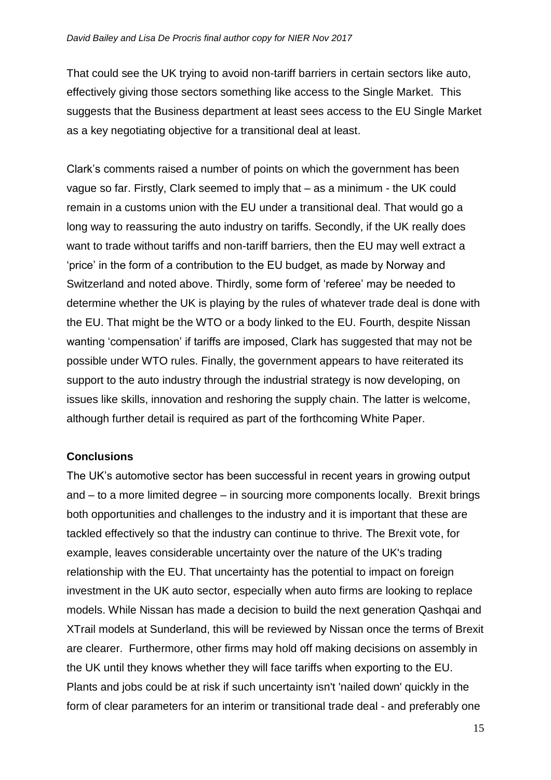That could see the UK trying to avoid non-tariff barriers in certain sectors like auto, effectively giving those sectors something like access to the Single Market. This suggests that the Business department at least sees access to the EU Single Market as a key negotiating objective for a transitional deal at least.

Clark's comments raised a number of points on which the government has been vague so far. Firstly, Clark seemed to imply that – as a minimum - the UK could remain in a customs union with the EU under a transitional deal. That would go a long way to reassuring the auto industry on tariffs. Secondly, if the UK really does want to trade without tariffs and non-tariff barriers, then the EU may well extract a 'price' in the form of a contribution to the EU budget, as made by Norway and Switzerland and noted above. Thirdly, some form of 'referee' may be needed to determine whether the UK is playing by the rules of whatever trade deal is done with the EU. That might be the WTO or a body linked to the EU. Fourth, despite Nissan wanting 'compensation' if tariffs are imposed, Clark has suggested that may not be possible under WTO rules. Finally, the government appears to have reiterated its support to the auto industry through the industrial strategy is now developing, on issues like skills, innovation and reshoring the supply chain. The latter is welcome, although further detail is required as part of the forthcoming White Paper.

#### **Conclusions**

The UK's automotive sector has been successful in recent years in growing output and – to a more limited degree – in sourcing more components locally. Brexit brings both opportunities and challenges to the industry and it is important that these are tackled effectively so that the industry can continue to thrive. The Brexit vote, for example, leaves considerable uncertainty over the nature of the UK's trading relationship with the EU. That uncertainty has the potential to impact on foreign investment in the UK auto sector, especially when auto firms are looking to replace models. While Nissan has made a decision to build the next generation Qashqai and XTrail models at Sunderland, this will be reviewed by Nissan once the terms of Brexit are clearer. Furthermore, other firms may hold off making decisions on assembly in the UK until they knows whether they will face tariffs when exporting to the EU. Plants and jobs could be at risk if such uncertainty isn't 'nailed down' quickly in the form of clear parameters for an interim or transitional trade deal - and preferably one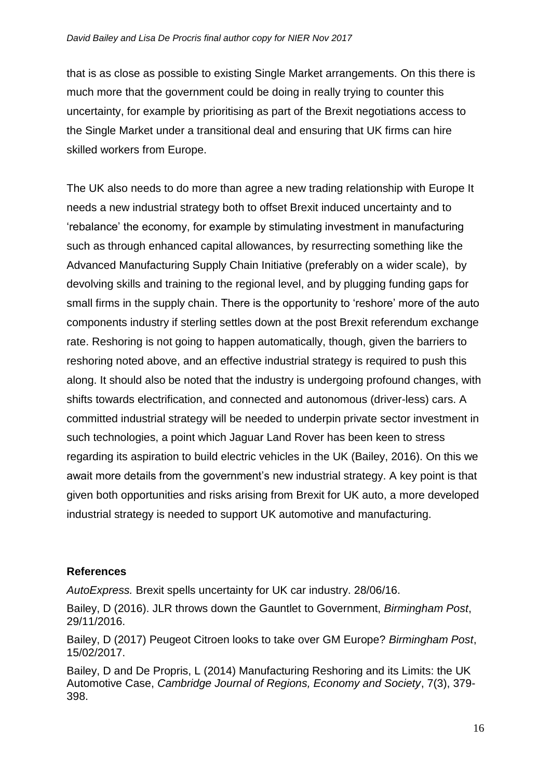that is as close as possible to existing Single Market arrangements. On this there is much more that the government could be doing in really trying to counter this uncertainty, for example by prioritising as part of the Brexit negotiations access to the Single Market under a transitional deal and ensuring that UK firms can hire skilled workers from Europe.

The UK also needs to do more than agree a new trading relationship with Europe It needs a new industrial strategy both to offset Brexit induced uncertainty and to 'rebalance' the economy, for example by stimulating investment in manufacturing such as through enhanced capital allowances, by resurrecting something like the Advanced Manufacturing Supply Chain Initiative (preferably on a wider scale), by devolving skills and training to the regional level, and by plugging funding gaps for small firms in the supply chain. There is the opportunity to 'reshore' more of the auto components industry if sterling settles down at the post Brexit referendum exchange rate. Reshoring is not going to happen automatically, though, given the barriers to reshoring noted above, and an effective industrial strategy is required to push this along. It should also be noted that the industry is undergoing profound changes, with shifts towards electrification, and connected and autonomous (driver-less) cars. A committed industrial strategy will be needed to underpin private sector investment in such technologies, a point which Jaguar Land Rover has been keen to stress regarding its aspiration to build electric vehicles in the UK (Bailey, 2016). On this we await more details from the government's new industrial strategy. A key point is that given both opportunities and risks arising from Brexit for UK auto, a more developed industrial strategy is needed to support UK automotive and manufacturing.

#### **References**

*AutoExpress.* Brexit spells uncertainty for UK car industry. 28/06/16.

Bailey, D (2016). JLR throws down the Gauntlet to Government, *Birmingham Post*, 29/11/2016.

Bailey, D (2017) Peugeot Citroen looks to take over GM Europe? *Birmingham Post*, 15/02/2017.

Bailey, D and De Propris, L (2014) Manufacturing Reshoring and its Limits: the UK Automotive Case, *Cambridge Journal of Regions, Economy and Society*, 7(3), 379- 398.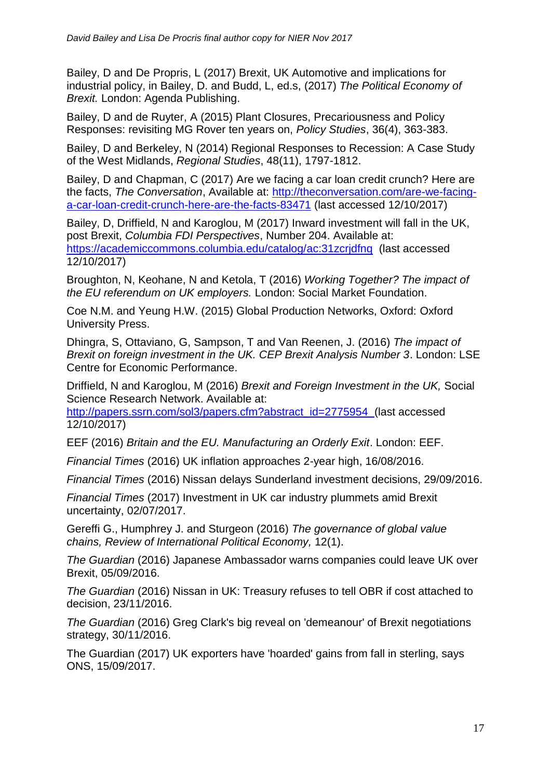Bailey, D and De Propris, L (2017) Brexit, UK Automotive and implications for industrial policy, in Bailey, D. and Budd, L, ed.s, (2017) *The Political Economy of Brexit.* London: Agenda Publishing.

Bailey, D and de Ruyter, A (2015) Plant Closures, Precariousness and Policy Responses: revisiting MG Rover ten years on, *Policy Studies*, 36(4), 363-383.

Bailey, D and Berkeley, N (2014) Regional Responses to Recession: A Case Study of the West Midlands, *Regional Studies*, 48(11), 1797-1812.

Bailey, D and Chapman, C (2017) Are we facing a car loan credit crunch? Here are the facts, *The Conversation*, Available at: [http://theconversation.com/are-we-facing](http://theconversation.com/are-we-facing-a-car-loan-credit-crunch-here-are-the-facts-83471)[a-car-loan-credit-crunch-here-are-the-facts-83471](http://theconversation.com/are-we-facing-a-car-loan-credit-crunch-here-are-the-facts-83471) (last accessed 12/10/2017)

Bailey, D, Driffield, N and Karoglou, M (2017) Inward investment will fall in the UK, post Brexit, *Columbia FDI Perspectives*, Number 204. Available at: https://academiccommons.columbia.edu/catalog/ac:31zcridfng (last accessed 12/10/2017)

Broughton, N, Keohane, N and Ketola, T (2016) *Working Together? The impact of the EU referendum on UK employers.* London: Social Market Foundation.

Coe N.M. and Yeung H.W. (2015) Global Production Networks, Oxford: Oxford University Press.

Dhingra, S, Ottaviano, G, Sampson, T and Van Reenen, J. (2016) *The impact of Brexit on foreign investment in the UK. CEP Brexit Analysis Number 3*. London: LSE Centre for Economic Performance.

Driffield, N and Karoglou, M (2016) *Brexit and Foreign Investment in the UK,* Social Science Research Network. Available at:

[http://papers.ssrn.com/sol3/papers.cfm?abstract\\_id=2775954](http://papers.ssrn.com/sol3/papers.cfm?abstract_id=2775954) (last accessed 12/10/2017)

EEF (2016) *Britain and the EU. Manufacturing an Orderly Exit*. London: EEF.

*Financial Times* (2016) UK inflation approaches 2-year high, 16/08/2016.

*Financial Times* (2016) Nissan delays Sunderland investment decisions, 29/09/2016.

*Financial Times* (2017) Investment in UK car industry plummets amid Brexit uncertainty, 02/07/2017.

Gereffi G., Humphrey J. and Sturgeon (2016) *The governance of global value chains, Review of International Political Economy,* 12(1).

*The Guardian* (2016) Japanese Ambassador warns companies could leave UK over Brexit, 05/09/2016.

*The Guardian* (2016) Nissan in UK: Treasury refuses to tell OBR if cost attached to decision, 23/11/2016.

*The Guardian* (2016) Greg Clark's big reveal on 'demeanour' of Brexit negotiations strategy, 30/11/2016.

The Guardian (2017) UK exporters have 'hoarded' gains from fall in sterling, says ONS, 15/09/2017.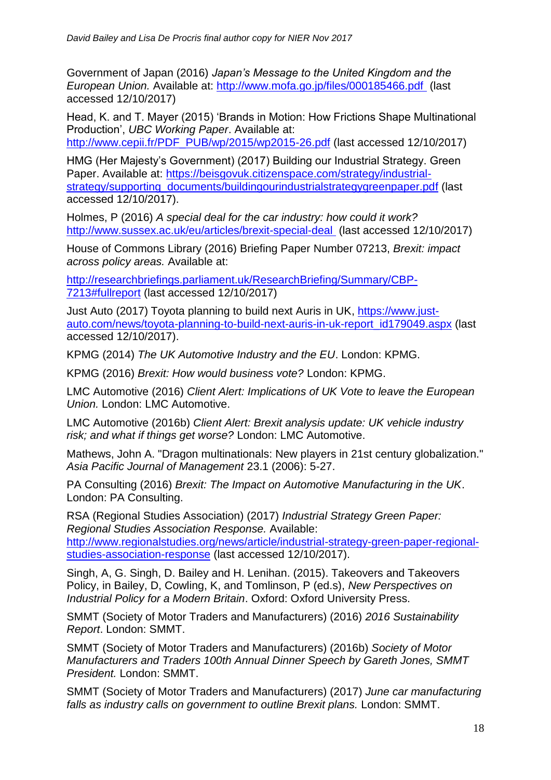Government of Japan (2016) *Japan's Message to the United Kingdom and the European Union.* Available at:<http://www.mofa.go.jp/files/000185466.pdf> (last accessed 12/10/2017)

Head, K. and T. Mayer (2015) 'Brands in Motion: How Frictions Shape Multinational Production', *UBC Working Paper*. Available at:

[http://www.cepii.fr/PDF\\_PUB/wp/2015/wp2015-26.pdf](http://www.cepii.fr/PDF_PUB/wp/2015/wp2015-26.pdf) (last accessed 12/10/2017)

HMG (Her Majesty's Government) (2017) Building our Industrial Strategy. Green Paper. Available at: [https://beisgovuk.citizenspace.com/strategy/industrial](https://beisgovuk.citizenspace.com/strategy/industrial-strategy/supporting_documents/buildingourindustrialstrategygreenpaper.pdf)[strategy/supporting\\_documents/buildingourindustrialstrategygreenpaper.pdf](https://beisgovuk.citizenspace.com/strategy/industrial-strategy/supporting_documents/buildingourindustrialstrategygreenpaper.pdf) (last accessed 12/10/2017).

Holmes, P (2016) *A special deal for the car industry: how could it work?* <http://www.sussex.ac.uk/eu/articles/brexit-special-deal> (last accessed 12/10/2017)

House of Commons Library (2016) Briefing Paper Number 07213, *Brexit: impact across policy areas.* Available at:

[http://researchbriefings.parliament.uk/ResearchBriefing/Summary/CBP-](http://researchbriefings.parliament.uk/ResearchBriefing/Summary/CBP-7213#fullreport)[7213#fullreport](http://researchbriefings.parliament.uk/ResearchBriefing/Summary/CBP-7213#fullreport) (last accessed 12/10/2017)

Just Auto (2017) Toyota planning to build next Auris in UK, [https://www.just](https://www.just-auto.com/news/toyota-planning-to-build-next-auris-in-uk-report_id179049.aspx)[auto.com/news/toyota-planning-to-build-next-auris-in-uk-report\\_id179049.aspx](https://www.just-auto.com/news/toyota-planning-to-build-next-auris-in-uk-report_id179049.aspx) (last accessed 12/10/2017).

KPMG (2014) *The UK Automotive Industry and the EU*. London: KPMG.

KPMG (2016) *Brexit: How would business vote?* London: KPMG.

LMC Automotive (2016) *Client Alert: Implications of UK Vote to leave the European Union.* London: LMC Automotive.

LMC Automotive (2016b) *Client Alert: Brexit analysis update: UK vehicle industry risk; and what if things get worse?* London: LMC Automotive.

Mathews, John A. "Dragon multinationals: New players in 21st century globalization." *Asia Pacific Journal of Management* 23.1 (2006): 5-27.

PA Consulting (2016) *Brexit: The Impact on Automotive Manufacturing in the UK*. London: PA Consulting.

RSA (Regional Studies Association) (2017) *Industrial Strategy Green Paper: Regional Studies Association Response.* Available:

[http://www.regionalstudies.org/news/article/industrial-strategy-green-paper-regional](http://www.regionalstudies.org/news/article/industrial-strategy-green-paper-regional-studies-association-response)[studies-association-response](http://www.regionalstudies.org/news/article/industrial-strategy-green-paper-regional-studies-association-response) (last accessed 12/10/2017).

Singh, A, G. Singh, D. Bailey and H. Lenihan. (2015). Takeovers and Takeovers Policy, in Bailey, D, Cowling, K, and Tomlinson, P (ed.s), *New Perspectives on Industrial Policy for a Modern Britain*. Oxford: Oxford University Press.

SMMT (Society of Motor Traders and Manufacturers) (2016) *2016 Sustainability Report*. London: SMMT.

SMMT (Society of Motor Traders and Manufacturers) (2016b) *Society of Motor Manufacturers and Traders 100th Annual Dinner Speech by Gareth Jones, SMMT President.* London: SMMT.

SMMT (Society of Motor Traders and Manufacturers) (2017) *June car manufacturing falls as industry calls on government to outline Brexit plans.* London: SMMT.